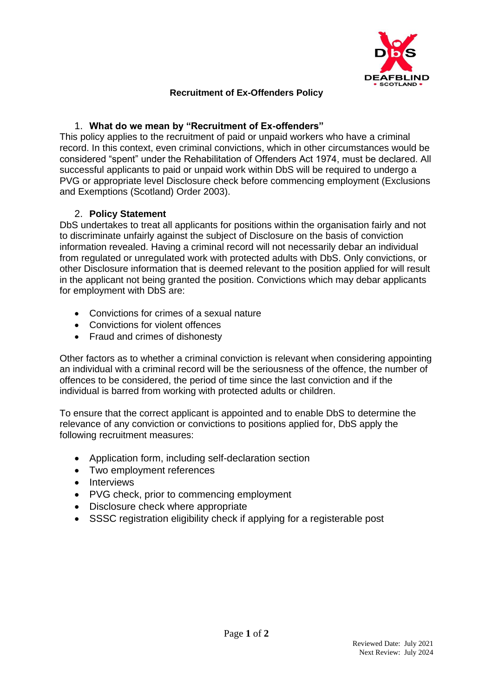

## **Recruitment of Ex-Offenders Policy**

## 1. **What do we mean by "Recruitment of Ex-offenders"**

This policy applies to the recruitment of paid or unpaid workers who have a criminal record. In this context, even criminal convictions, which in other circumstances would be considered "spent" under the Rehabilitation of Offenders Act 1974, must be declared. All successful applicants to paid or unpaid work within DbS will be required to undergo a PVG or appropriate level Disclosure check before commencing employment (Exclusions and Exemptions (Scotland) Order 2003).

## 2. **Policy Statement**

DbS undertakes to treat all applicants for positions within the organisation fairly and not to discriminate unfairly against the subject of Disclosure on the basis of conviction information revealed. Having a criminal record will not necessarily debar an individual from regulated or unregulated work with protected adults with DbS. Only convictions, or other Disclosure information that is deemed relevant to the position applied for will result in the applicant not being granted the position. Convictions which may debar applicants for employment with DbS are:

- Convictions for crimes of a sexual nature
- Convictions for violent offences
- Fraud and crimes of dishonesty

Other factors as to whether a criminal conviction is relevant when considering appointing an individual with a criminal record will be the seriousness of the offence, the number of offences to be considered, the period of time since the last conviction and if the individual is barred from working with protected adults or children.

To ensure that the correct applicant is appointed and to enable DbS to determine the relevance of any conviction or convictions to positions applied for, DbS apply the following recruitment measures:

- Application form, including self-declaration section
- Two employment references
- Interviews
- PVG check, prior to commencing employment
- Disclosure check where appropriate
- SSSC registration eligibility check if applying for a registerable post